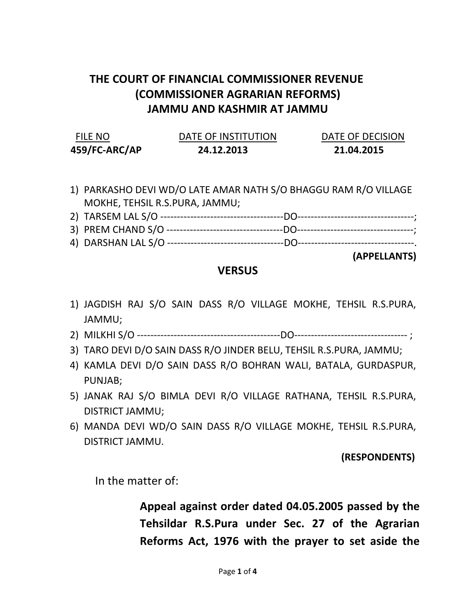# THE COURT OF FINANCIAL COMMISSIONER REVENUE (COMMISSIONER AGRARIAN REFORMS) JAMMU AND KASHMIR AT JAMMU

| FILE NO       | DATE OF INSTITUTION | DATE OF DECISION |  |
|---------------|---------------------|------------------|--|
| 459/FC-ARC/AP | 24.12.2013          | 21.04.2015       |  |

1) PARKASHO DEVI WD/O LATE AMAR NATH S/O BHAGGU RAM R/O VILLAGE MOKHE, TEHSIL R.S.PURA, JAMMU;

| 2) TARSEM LAL S/O |  |
|-------------------|--|
|                   |  |

- 3) PREM CHAND S/O -----------------------------------DO-----------------------------------;
- 4) DARSHAN LAL S/O -----------------------------------DO-----------------------------------.

(APPELLANTS)

### **VERSUS**

- 1) JAGDISH RAJ S/O SAIN DASS R/O VILLAGE MOKHE, TEHSIL R.S.PURA, JAMMU;
- 2) MILKHI S/O -------------------------------------------DO---------------------------------- ;
- 3) TARO DEVI D/O SAIN DASS R/O JINDER BELU, TEHSIL R.S.PURA, JAMMU;
- 4) KAMLA DEVI D/O SAIN DASS R/O BOHRAN WALI, BATALA, GURDASPUR, PUNJAB;
- 5) JANAK RAJ S/O BIMLA DEVI R/O VILLAGE RATHANA, TEHSIL R.S.PURA, DISTRICT JAMMU;
- 6) MANDA DEVI WD/O SAIN DASS R/O VILLAGE MOKHE, TEHSIL R.S.PURA, DISTRICT JAMMU.

#### (RESPONDENTS)

In the matter of:

Appeal against order dated 04.05.2005 passed by the Tehsildar R.S.Pura under Sec. 27 of the Agrarian Reforms Act, 1976 with the prayer to set aside the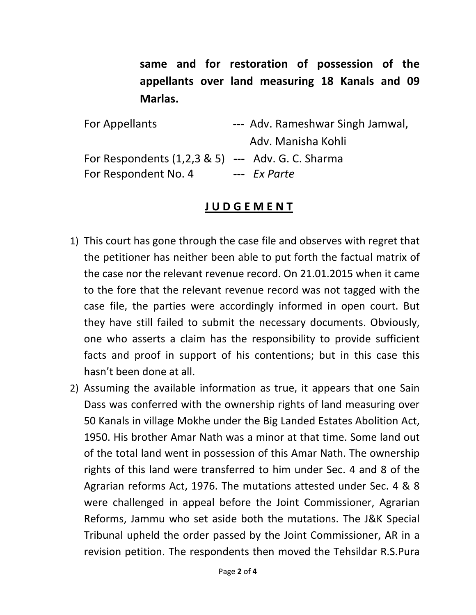same and for restoration of possession of the appellants over land measuring 18 Kanals and 09 Marlas.

| For Appellants                                      | --- Adv. Rameshwar Singh Jamwal, |  |
|-----------------------------------------------------|----------------------------------|--|
|                                                     | Adv. Manisha Kohli               |  |
| For Respondents $(1,2,3,8,5)$ --- Adv. G. C. Sharma |                                  |  |
| For Respondent No. 4                                | --- Ex Parte                     |  |

## J U D G E M E N T

- 1) This court has gone through the case file and observes with regret that the petitioner has neither been able to put forth the factual matrix of the case nor the relevant revenue record. On 21.01.2015 when it came to the fore that the relevant revenue record was not tagged with the case file, the parties were accordingly informed in open court. But they have still failed to submit the necessary documents. Obviously, one who asserts a claim has the responsibility to provide sufficient facts and proof in support of his contentions; but in this case this hasn't been done at all.
- 2) Assuming the available information as true, it appears that one Sain Dass was conferred with the ownership rights of land measuring over 50 Kanals in village Mokhe under the Big Landed Estates Abolition Act, 1950. His brother Amar Nath was a minor at that time. Some land out of the total land went in possession of this Amar Nath. The ownership rights of this land were transferred to him under Sec. 4 and 8 of the Agrarian reforms Act, 1976. The mutations attested under Sec. 4 & 8 were challenged in appeal before the Joint Commissioner, Agrarian Reforms, Jammu who set aside both the mutations. The J&K Special Tribunal upheld the order passed by the Joint Commissioner, AR in a revision petition. The respondents then moved the Tehsildar R.S.Pura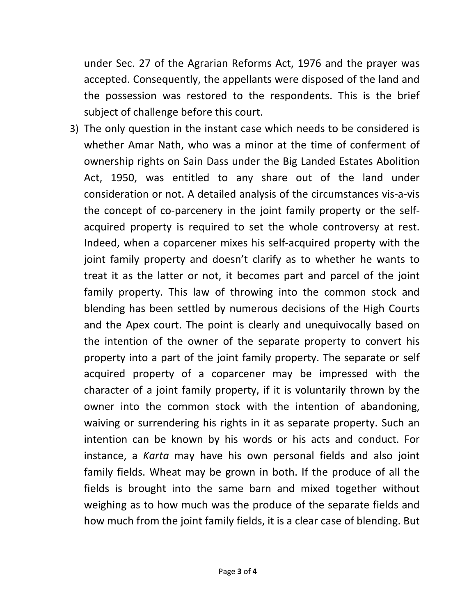under Sec. 27 of the Agrarian Reforms Act, 1976 and the prayer was accepted. Consequently, the appellants were disposed of the land and the possession was restored to the respondents. This is the brief subject of challenge before this court.

3) The only question in the instant case which needs to be considered is whether Amar Nath, who was a minor at the time of conferment of ownership rights on Sain Dass under the Big Landed Estates Abolition Act, 1950, was entitled to any share out of the land under consideration or not. A detailed analysis of the circumstances vis-a-vis the concept of co-parcenery in the joint family property or the selfacquired property is required to set the whole controversy at rest. Indeed, when a coparcener mixes his self-acquired property with the joint family property and doesn't clarify as to whether he wants to treat it as the latter or not, it becomes part and parcel of the joint family property. This law of throwing into the common stock and blending has been settled by numerous decisions of the High Courts and the Apex court. The point is clearly and unequivocally based on the intention of the owner of the separate property to convert his property into a part of the joint family property. The separate or self acquired property of a coparcener may be impressed with the character of a joint family property, if it is voluntarily thrown by the owner into the common stock with the intention of abandoning, waiving or surrendering his rights in it as separate property. Such an intention can be known by his words or his acts and conduct. For instance, a Karta may have his own personal fields and also joint family fields. Wheat may be grown in both. If the produce of all the fields is brought into the same barn and mixed together without weighing as to how much was the produce of the separate fields and how much from the joint family fields, it is a clear case of blending. But